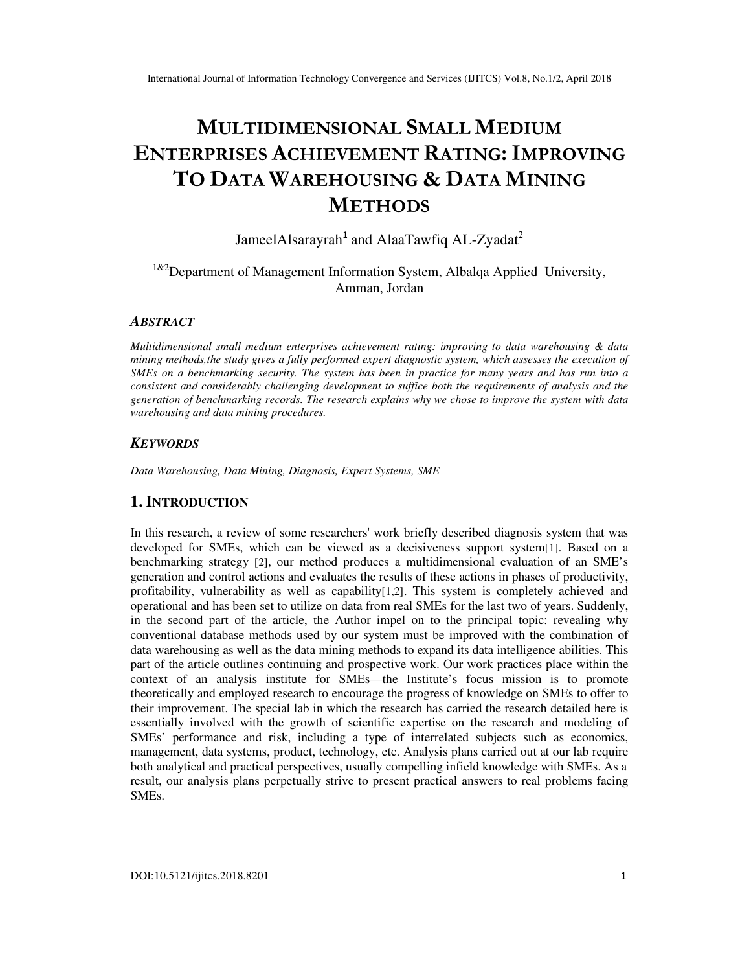# **MULTIDIMENSIONAL SMALL MEDIUM ENTERPRISES ACHIEVEMENT RATING: IMPROVING TO DATA WAREHOUSING & DATA MINING METHODS**

JameelAlsarayrah<sup>1</sup> and AlaaTawfiq AL-Zyadat<sup>2</sup>

# $1^{1,82}$ Department of Management Information System, Albalqa Applied University, Amman, Jordan

## *ABSTRACT*

*Multidimensional small medium enterprises achievement rating: improving to data warehousing & data mining methods,the study gives a fully performed expert diagnostic system, which assesses the execution of SMEs on a benchmarking security. The system has been in practice for many years and has run into a consistent and considerably challenging development to suffice both the requirements of analysis and the generation of benchmarking records. The research explains why we chose to improve the system with data warehousing and data mining procedures.* 

## *KEYWORDS*

*Data Warehousing, Data Mining, Diagnosis, Expert Systems, SME*

# **1. INTRODUCTION**

In this research, a review of some researchers' work briefly described diagnosis system that was developed for SMEs, which can be viewed as a decisiveness support system[1]. Based on a benchmarking strategy [2], our method produces a multidimensional evaluation of an SME's generation and control actions and evaluates the results of these actions in phases of productivity, profitability, vulnerability as well as capability[1,2]. This system is completely achieved and operational and has been set to utilize on data from real SMEs for the last two of years. Suddenly, in the second part of the article, the Author impel on to the principal topic: revealing why conventional database methods used by our system must be improved with the combination of data warehousing as well as the data mining methods to expand its data intelligence abilities. This part of the article outlines continuing and prospective work. Our work practices place within the context of an analysis institute for SMEs—the Institute's focus mission is to promote theoretically and employed research to encourage the progress of knowledge on SMEs to offer to their improvement. The special lab in which the research has carried the research detailed here is essentially involved with the growth of scientific expertise on the research and modeling of SMEs' performance and risk, including a type of interrelated subjects such as economics, management, data systems, product, technology, etc. Analysis plans carried out at our lab require both analytical and practical perspectives, usually compelling infield knowledge with SMEs. As a result, our analysis plans perpetually strive to present practical answers to real problems facing SMEs.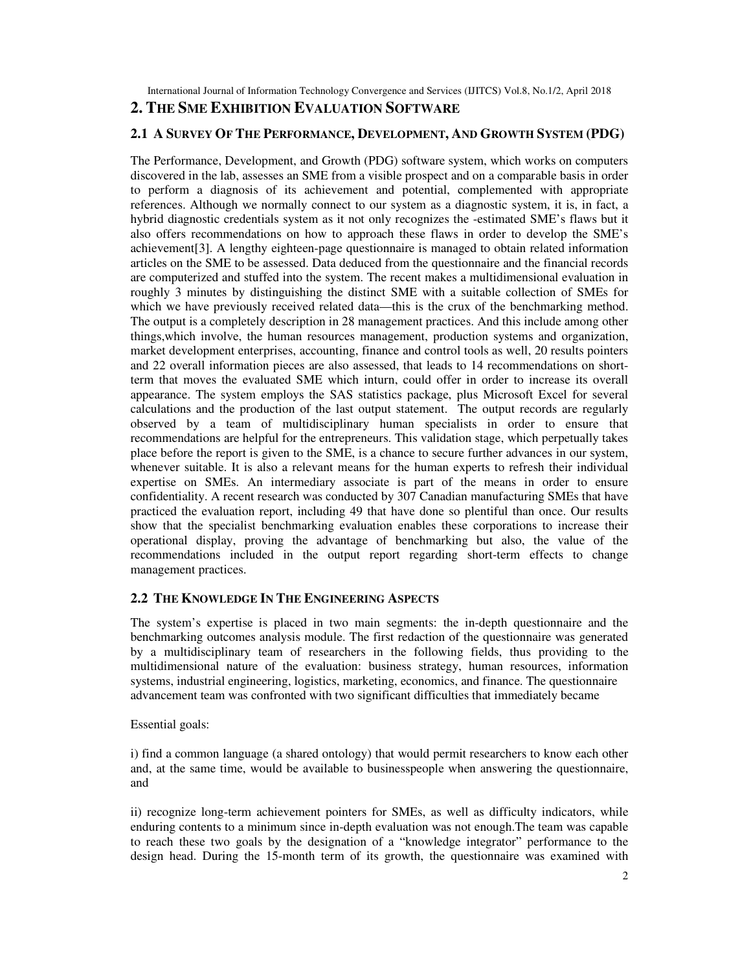International Journal of Information Technology Convergence and Services (IJITCS) Vol.8, No.1/2, April 2018

# **2. THE SME EXHIBITION EVALUATION SOFTWARE**

### **2.1 A SURVEY OF THE PERFORMANCE, DEVELOPMENT, AND GROWTH SYSTEM (PDG)**

The Performance, Development, and Growth (PDG) software system, which works on computers discovered in the lab, assesses an SME from a visible prospect and on a comparable basis in order to perform a diagnosis of its achievement and potential, complemented with appropriate references. Although we normally connect to our system as a diagnostic system, it is, in fact, a hybrid diagnostic credentials system as it not only recognizes the -estimated SME's flaws but it also offers recommendations on how to approach these flaws in order to develop the SME's achievement[3]. A lengthy eighteen-page questionnaire is managed to obtain related information articles on the SME to be assessed. Data deduced from the questionnaire and the financial records are computerized and stuffed into the system. The recent makes a multidimensional evaluation in roughly 3 minutes by distinguishing the distinct SME with a suitable collection of SMEs for which we have previously received related data—this is the crux of the benchmarking method. The output is a completely description in 28 management practices. And this include among other things,which involve, the human resources management, production systems and organization, market development enterprises, accounting, finance and control tools as well, 20 results pointers and 22 overall information pieces are also assessed, that leads to 14 recommendations on shortterm that moves the evaluated SME which inturn, could offer in order to increase its overall appearance. The system employs the SAS statistics package, plus Microsoft Excel for several calculations and the production of the last output statement. The output records are regularly observed by a team of multidisciplinary human specialists in order to ensure that recommendations are helpful for the entrepreneurs. This validation stage, which perpetually takes place before the report is given to the SME, is a chance to secure further advances in our system, whenever suitable. It is also a relevant means for the human experts to refresh their individual expertise on SMEs. An intermediary associate is part of the means in order to ensure confidentiality. A recent research was conducted by 307 Canadian manufacturing SMEs that have practiced the evaluation report, including 49 that have done so plentiful than once. Our results show that the specialist benchmarking evaluation enables these corporations to increase their operational display, proving the advantage of benchmarking but also, the value of the recommendations included in the output report regarding short-term effects to change management practices.

## **2.2 THE KNOWLEDGE IN THE ENGINEERING ASPECTS**

The system's expertise is placed in two main segments: the in-depth questionnaire and the benchmarking outcomes analysis module. The first redaction of the questionnaire was generated by a multidisciplinary team of researchers in the following fields, thus providing to the multidimensional nature of the evaluation: business strategy, human resources, information systems, industrial engineering, logistics, marketing, economics, and finance. The questionnaire advancement team was confronted with two significant difficulties that immediately became

#### Essential goals:

i) find a common language (a shared ontology) that would permit researchers to know each other and, at the same time, would be available to businesspeople when answering the questionnaire, and

ii) recognize long-term achievement pointers for SMEs, as well as difficulty indicators, while enduring contents to a minimum since in-depth evaluation was not enough.The team was capable to reach these two goals by the designation of a "knowledge integrator" performance to the design head. During the 15-month term of its growth, the questionnaire was examined with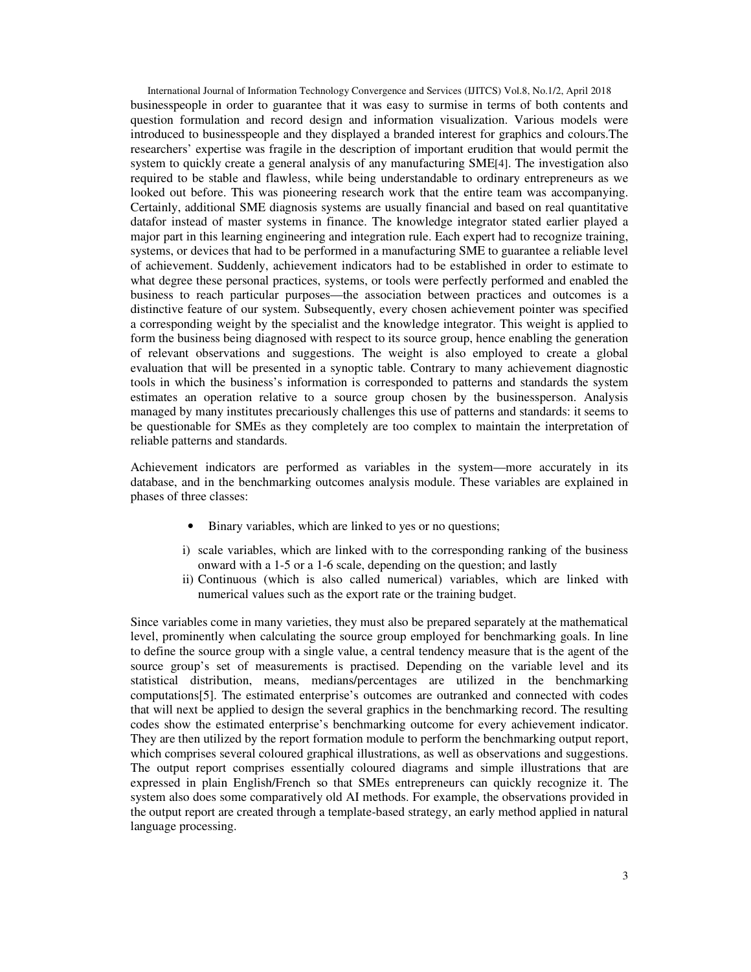International Journal of Information Technology Convergence and Services (IJITCS) Vol.8, No.1/2, April 2018 businesspeople in order to guarantee that it was easy to surmise in terms of both contents and question formulation and record design and information visualization. Various models were introduced to businesspeople and they displayed a branded interest for graphics and colours.The researchers' expertise was fragile in the description of important erudition that would permit the system to quickly create a general analysis of any manufacturing SME[4]. The investigation also required to be stable and flawless, while being understandable to ordinary entrepreneurs as we looked out before. This was pioneering research work that the entire team was accompanying. Certainly, additional SME diagnosis systems are usually financial and based on real quantitative datafor instead of master systems in finance. The knowledge integrator stated earlier played a major part in this learning engineering and integration rule. Each expert had to recognize training, systems, or devices that had to be performed in a manufacturing SME to guarantee a reliable level of achievement. Suddenly, achievement indicators had to be established in order to estimate to what degree these personal practices, systems, or tools were perfectly performed and enabled the business to reach particular purposes—the association between practices and outcomes is a distinctive feature of our system. Subsequently, every chosen achievement pointer was specified a corresponding weight by the specialist and the knowledge integrator. This weight is applied to form the business being diagnosed with respect to its source group, hence enabling the generation of relevant observations and suggestions. The weight is also employed to create a global evaluation that will be presented in a synoptic table. Contrary to many achievement diagnostic tools in which the business's information is corresponded to patterns and standards the system estimates an operation relative to a source group chosen by the businessperson. Analysis managed by many institutes precariously challenges this use of patterns and standards: it seems to be questionable for SMEs as they completely are too complex to maintain the interpretation of reliable patterns and standards.

Achievement indicators are performed as variables in the system—more accurately in its database, and in the benchmarking outcomes analysis module. These variables are explained in phases of three classes:

- Binary variables, which are linked to yes or no questions;
- i) scale variables, which are linked with to the corresponding ranking of the business onward with a 1-5 or a 1-6 scale, depending on the question; and lastly
- ii) Continuous (which is also called numerical) variables, which are linked with numerical values such as the export rate or the training budget.

Since variables come in many varieties, they must also be prepared separately at the mathematical level, prominently when calculating the source group employed for benchmarking goals. In line to define the source group with a single value, a central tendency measure that is the agent of the source group's set of measurements is practised. Depending on the variable level and its statistical distribution, means, medians/percentages are utilized in the benchmarking computations[5]. The estimated enterprise's outcomes are outranked and connected with codes that will next be applied to design the several graphics in the benchmarking record. The resulting codes show the estimated enterprise's benchmarking outcome for every achievement indicator. They are then utilized by the report formation module to perform the benchmarking output report, which comprises several coloured graphical illustrations, as well as observations and suggestions. The output report comprises essentially coloured diagrams and simple illustrations that are expressed in plain English/French so that SMEs entrepreneurs can quickly recognize it. The system also does some comparatively old AI methods. For example, the observations provided in the output report are created through a template-based strategy, an early method applied in natural language processing.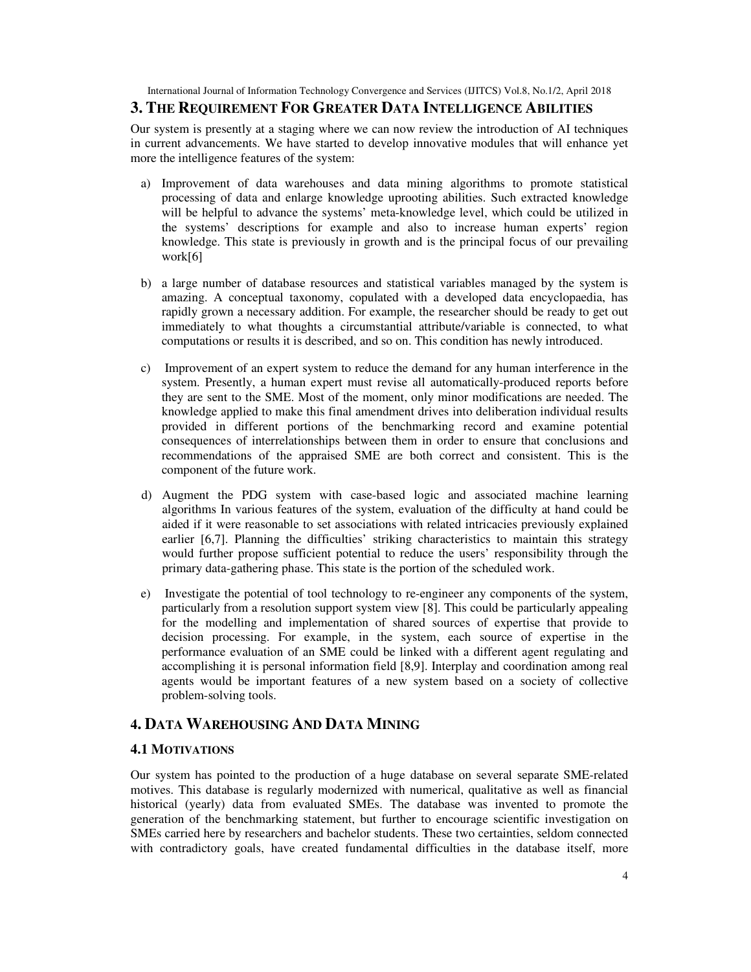International Journal of Information Technology Convergence and Services (IJITCS) Vol.8, No.1/2, April 2018

# **3. THE REQUIREMENT FOR GREATER DATA INTELLIGENCE ABILITIES**

Our system is presently at a staging where we can now review the introduction of AI techniques in current advancements. We have started to develop innovative modules that will enhance yet more the intelligence features of the system:

- a) Improvement of data warehouses and data mining algorithms to promote statistical processing of data and enlarge knowledge uprooting abilities. Such extracted knowledge will be helpful to advance the systems' meta-knowledge level, which could be utilized in the systems' descriptions for example and also to increase human experts' region knowledge. This state is previously in growth and is the principal focus of our prevailing work[6]
- b) a large number of database resources and statistical variables managed by the system is amazing. A conceptual taxonomy, copulated with a developed data encyclopaedia, has rapidly grown a necessary addition. For example, the researcher should be ready to get out immediately to what thoughts a circumstantial attribute/variable is connected, to what computations or results it is described, and so on. This condition has newly introduced.
- c) Improvement of an expert system to reduce the demand for any human interference in the system. Presently, a human expert must revise all automatically-produced reports before they are sent to the SME. Most of the moment, only minor modifications are needed. The knowledge applied to make this final amendment drives into deliberation individual results provided in different portions of the benchmarking record and examine potential consequences of interrelationships between them in order to ensure that conclusions and recommendations of the appraised SME are both correct and consistent. This is the component of the future work.
- d) Augment the PDG system with case-based logic and associated machine learning algorithms In various features of the system, evaluation of the difficulty at hand could be aided if it were reasonable to set associations with related intricacies previously explained earlier [6,7]. Planning the difficulties' striking characteristics to maintain this strategy would further propose sufficient potential to reduce the users' responsibility through the primary data-gathering phase. This state is the portion of the scheduled work.
- e) Investigate the potential of tool technology to re-engineer any components of the system, particularly from a resolution support system view [8]. This could be particularly appealing for the modelling and implementation of shared sources of expertise that provide to decision processing. For example, in the system, each source of expertise in the performance evaluation of an SME could be linked with a different agent regulating and accomplishing it is personal information field [8,9]. Interplay and coordination among real agents would be important features of a new system based on a society of collective problem-solving tools.

# **4. DATA WAREHOUSING AND DATA MINING**

# **4.1 MOTIVATIONS**

Our system has pointed to the production of a huge database on several separate SME-related motives. This database is regularly modernized with numerical, qualitative as well as financial historical (yearly) data from evaluated SMEs. The database was invented to promote the generation of the benchmarking statement, but further to encourage scientific investigation on SMEs carried here by researchers and bachelor students. These two certainties, seldom connected with contradictory goals, have created fundamental difficulties in the database itself, more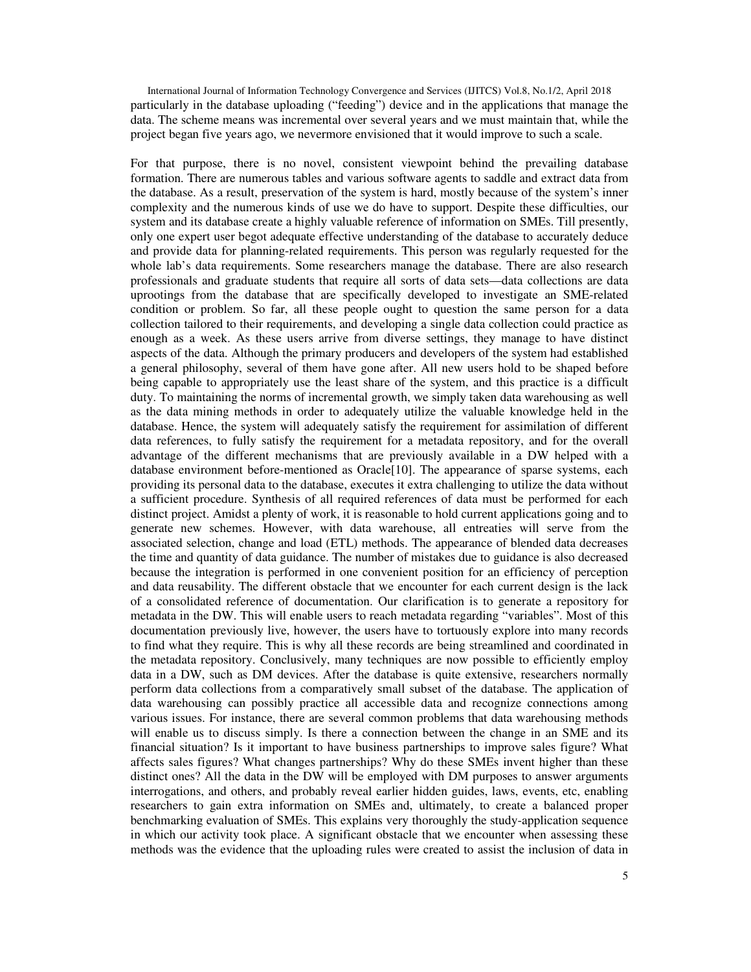International Journal of Information Technology Convergence and Services (IJITCS) Vol.8, No.1/2, April 2018 particularly in the database uploading ("feeding") device and in the applications that manage the data. The scheme means was incremental over several years and we must maintain that, while the project began five years ago, we nevermore envisioned that it would improve to such a scale.

For that purpose, there is no novel, consistent viewpoint behind the prevailing database formation. There are numerous tables and various software agents to saddle and extract data from the database. As a result, preservation of the system is hard, mostly because of the system's inner complexity and the numerous kinds of use we do have to support. Despite these difficulties, our system and its database create a highly valuable reference of information on SMEs. Till presently, only one expert user begot adequate effective understanding of the database to accurately deduce and provide data for planning-related requirements. This person was regularly requested for the whole lab's data requirements. Some researchers manage the database. There are also research professionals and graduate students that require all sorts of data sets—data collections are data uprootings from the database that are specifically developed to investigate an SME-related condition or problem. So far, all these people ought to question the same person for a data collection tailored to their requirements, and developing a single data collection could practice as enough as a week. As these users arrive from diverse settings, they manage to have distinct aspects of the data. Although the primary producers and developers of the system had established a general philosophy, several of them have gone after. All new users hold to be shaped before being capable to appropriately use the least share of the system, and this practice is a difficult duty. To maintaining the norms of incremental growth, we simply taken data warehousing as well as the data mining methods in order to adequately utilize the valuable knowledge held in the database. Hence, the system will adequately satisfy the requirement for assimilation of different data references, to fully satisfy the requirement for a metadata repository, and for the overall advantage of the different mechanisms that are previously available in a DW helped with a database environment before-mentioned as Oracle[10]. The appearance of sparse systems, each providing its personal data to the database, executes it extra challenging to utilize the data without a sufficient procedure. Synthesis of all required references of data must be performed for each distinct project. Amidst a plenty of work, it is reasonable to hold current applications going and to generate new schemes. However, with data warehouse, all entreaties will serve from the associated selection, change and load (ETL) methods. The appearance of blended data decreases the time and quantity of data guidance. The number of mistakes due to guidance is also decreased because the integration is performed in one convenient position for an efficiency of perception and data reusability. The different obstacle that we encounter for each current design is the lack of a consolidated reference of documentation. Our clarification is to generate a repository for metadata in the DW. This will enable users to reach metadata regarding "variables". Most of this documentation previously live, however, the users have to tortuously explore into many records to find what they require. This is why all these records are being streamlined and coordinated in the metadata repository. Conclusively, many techniques are now possible to efficiently employ data in a DW, such as DM devices. After the database is quite extensive, researchers normally perform data collections from a comparatively small subset of the database. The application of data warehousing can possibly practice all accessible data and recognize connections among various issues. For instance, there are several common problems that data warehousing methods will enable us to discuss simply. Is there a connection between the change in an SME and its financial situation? Is it important to have business partnerships to improve sales figure? What affects sales figures? What changes partnerships? Why do these SMEs invent higher than these distinct ones? All the data in the DW will be employed with DM purposes to answer arguments interrogations, and others, and probably reveal earlier hidden guides, laws, events, etc, enabling researchers to gain extra information on SMEs and, ultimately, to create a balanced proper benchmarking evaluation of SMEs. This explains very thoroughly the study-application sequence in which our activity took place. A significant obstacle that we encounter when assessing these methods was the evidence that the uploading rules were created to assist the inclusion of data in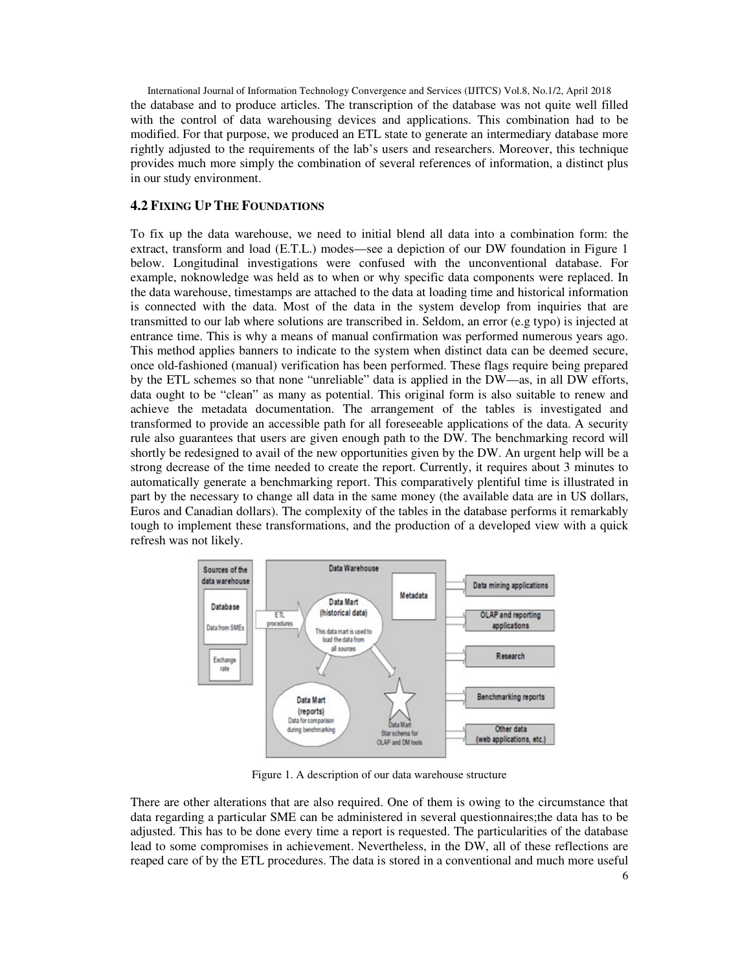International Journal of Information Technology Convergence and Services (IJITCS) Vol.8, No.1/2, April 2018 the database and to produce articles. The transcription of the database was not quite well filled with the control of data warehousing devices and applications. This combination had to be modified. For that purpose, we produced an ETL state to generate an intermediary database more rightly adjusted to the requirements of the lab's users and researchers. Moreover, this technique provides much more simply the combination of several references of information, a distinct plus in our study environment.

## **4.2 FIXING UP THE FOUNDATIONS**

To fix up the data warehouse, we need to initial blend all data into a combination form: the extract, transform and load (E.T.L.) modes—see a depiction of our DW foundation in Figure 1 below. Longitudinal investigations were confused with the unconventional database. For example, noknowledge was held as to when or why specific data components were replaced. In the data warehouse, timestamps are attached to the data at loading time and historical information is connected with the data. Most of the data in the system develop from inquiries that are transmitted to our lab where solutions are transcribed in. Seldom, an error (e.g typo) is injected at entrance time. This is why a means of manual confirmation was performed numerous years ago. This method applies banners to indicate to the system when distinct data can be deemed secure, once old-fashioned (manual) verification has been performed. These flags require being prepared by the ETL schemes so that none "unreliable" data is applied in the DW—as, in all DW efforts, data ought to be "clean" as many as potential. This original form is also suitable to renew and achieve the metadata documentation. The arrangement of the tables is investigated and transformed to provide an accessible path for all foreseeable applications of the data. A security rule also guarantees that users are given enough path to the DW. The benchmarking record will shortly be redesigned to avail of the new opportunities given by the DW. An urgent help will be a strong decrease of the time needed to create the report. Currently, it requires about 3 minutes to automatically generate a benchmarking report. This comparatively plentiful time is illustrated in part by the necessary to change all data in the same money (the available data are in US dollars, Euros and Canadian dollars). The complexity of the tables in the database performs it remarkably tough to implement these transformations, and the production of a developed view with a quick refresh was not likely.



Figure 1. A description of our data warehouse structure

There are other alterations that are also required. One of them is owing to the circumstance that data regarding a particular SME can be administered in several questionnaires;the data has to be adjusted. This has to be done every time a report is requested. The particularities of the database lead to some compromises in achievement. Nevertheless, in the DW, all of these reflections are reaped care of by the ETL procedures. The data is stored in a conventional and much more useful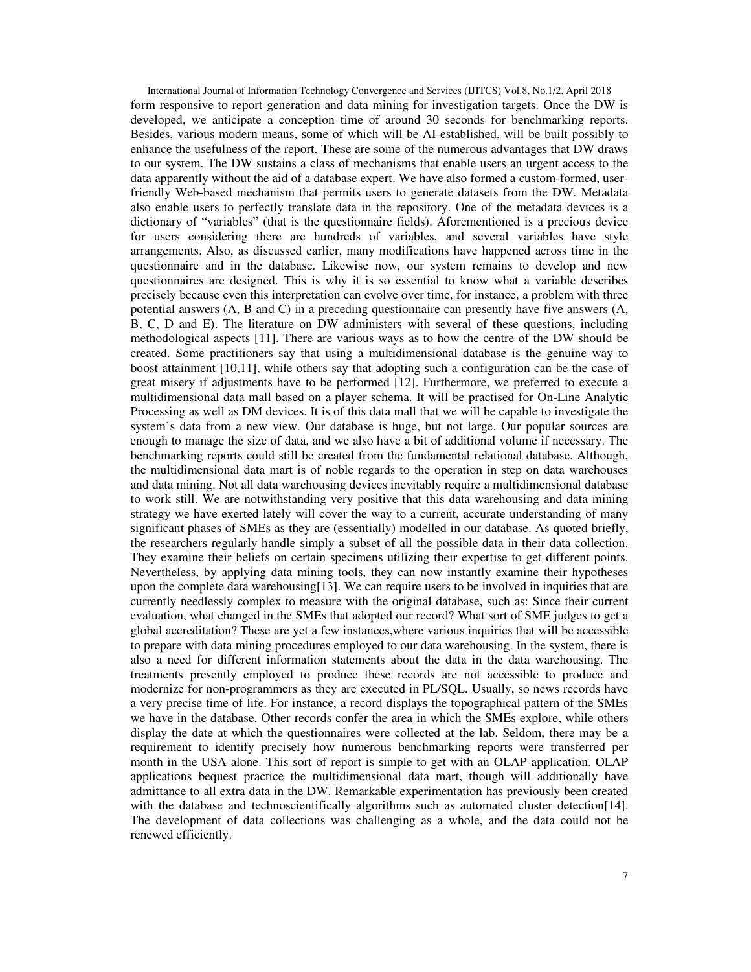International Journal of Information Technology Convergence and Services (IJITCS) Vol.8, No.1/2, April 2018 form responsive to report generation and data mining for investigation targets. Once the DW is developed, we anticipate a conception time of around 30 seconds for benchmarking reports. Besides, various modern means, some of which will be AI-established, will be built possibly to enhance the usefulness of the report. These are some of the numerous advantages that DW draws to our system. The DW sustains a class of mechanisms that enable users an urgent access to the data apparently without the aid of a database expert. We have also formed a custom-formed, userfriendly Web-based mechanism that permits users to generate datasets from the DW. Metadata also enable users to perfectly translate data in the repository. One of the metadata devices is a dictionary of "variables" (that is the questionnaire fields). Aforementioned is a precious device for users considering there are hundreds of variables, and several variables have style arrangements. Also, as discussed earlier, many modifications have happened across time in the questionnaire and in the database. Likewise now, our system remains to develop and new questionnaires are designed. This is why it is so essential to know what a variable describes precisely because even this interpretation can evolve over time, for instance, a problem with three potential answers (A, B and C) in a preceding questionnaire can presently have five answers (A, B, C, D and E). The literature on DW administers with several of these questions, including methodological aspects [11]. There are various ways as to how the centre of the DW should be created. Some practitioners say that using a multidimensional database is the genuine way to boost attainment [10,11], while others say that adopting such a configuration can be the case of great misery if adjustments have to be performed [12]. Furthermore, we preferred to execute a multidimensional data mall based on a player schema. It will be practised for On-Line Analytic Processing as well as DM devices. It is of this data mall that we will be capable to investigate the system's data from a new view. Our database is huge, but not large. Our popular sources are enough to manage the size of data, and we also have a bit of additional volume if necessary. The benchmarking reports could still be created from the fundamental relational database. Although, the multidimensional data mart is of noble regards to the operation in step on data warehouses and data mining. Not all data warehousing devices inevitably require a multidimensional database to work still. We are notwithstanding very positive that this data warehousing and data mining strategy we have exerted lately will cover the way to a current, accurate understanding of many significant phases of SMEs as they are (essentially) modelled in our database. As quoted briefly, the researchers regularly handle simply a subset of all the possible data in their data collection. They examine their beliefs on certain specimens utilizing their expertise to get different points. Nevertheless, by applying data mining tools, they can now instantly examine their hypotheses upon the complete data warehousing[13]. We can require users to be involved in inquiries that are currently needlessly complex to measure with the original database, such as: Since their current evaluation, what changed in the SMEs that adopted our record? What sort of SME judges to get a global accreditation? These are yet a few instances,where various inquiries that will be accessible to prepare with data mining procedures employed to our data warehousing. In the system, there is also a need for different information statements about the data in the data warehousing. The treatments presently employed to produce these records are not accessible to produce and modernize for non-programmers as they are executed in PL/SQL. Usually, so news records have a very precise time of life. For instance, a record displays the topographical pattern of the SMEs we have in the database. Other records confer the area in which the SMEs explore, while others display the date at which the questionnaires were collected at the lab. Seldom, there may be a requirement to identify precisely how numerous benchmarking reports were transferred per month in the USA alone. This sort of report is simple to get with an OLAP application. OLAP applications bequest practice the multidimensional data mart, though will additionally have admittance to all extra data in the DW. Remarkable experimentation has previously been created with the database and technoscientifically algorithms such as automated cluster detection [14]. The development of data collections was challenging as a whole, and the data could not be renewed efficiently.